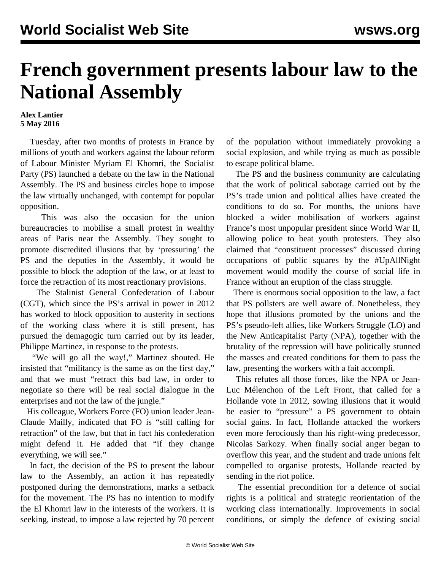## **French government presents labour law to the National Assembly**

## **Alex Lantier 5 May 2016**

 Tuesday, after two months of protests in France by millions of youth and workers against the labour reform of Labour Minister Myriam El Khomri, the Socialist Party (PS) launched a debate on the law in the National Assembly. The PS and business circles hope to impose the law virtually unchanged, with contempt for popular opposition.

 This was also the occasion for the union bureaucracies to mobilise a small protest in wealthy areas of Paris near the Assembly. They sought to promote discredited illusions that by 'pressuring' the PS and the deputies in the Assembly, it would be possible to block the adoption of the law, or at least to force the retraction of its most reactionary provisions.

 The Stalinist General Confederation of Labour (CGT), which since the PS's arrival in power in 2012 has worked to block opposition to austerity in sections of the working class where it is still present, has pursued the demagogic turn carried out by its leader, Philippe Martinez, in response to the protests.

 "We will go all the way!," Martinez shouted. He insisted that "militancy is the same as on the first day," and that we must "retract this bad law, in order to negotiate so there will be real social dialogue in the enterprises and not the law of the jungle."

 His colleague, Workers Force (FO) union leader Jean-Claude Mailly, indicated that FO is "still calling for retraction" of the law, but that in fact his confederation might defend it. He added that "if they change everything, we will see."

 In fact, the decision of the PS to present the labour law to the Assembly, an action it has repeatedly postponed during the demonstrations, marks a setback for the movement. The PS has no intention to modify the El Khomri law in the interests of the workers. It is seeking, instead, to impose a law rejected by 70 percent of the population without immediately provoking a social explosion, and while trying as much as possible to escape political blame.

 The PS and the business community are calculating that the work of political sabotage carried out by the PS's trade union and political allies have created the conditions to do so. For months, the unions have blocked a wider mobilisation of workers against France's most unpopular president since World War II, allowing police to beat youth protesters. They also claimed that "constituent processes" discussed during occupations of public squares by the #UpAllNight movement would modify the course of social life in France without an eruption of the class struggle.

 There is enormous social opposition to the law, a fact that PS pollsters are well aware of. Nonetheless, they hope that illusions promoted by the unions and the PS's pseudo-left allies, like Workers Struggle (LO) and the New Anticapitalist Party (NPA), together with the brutality of the repression will have politically stunned the masses and created conditions for them to pass the law, presenting the workers with a fait accompli.

 This refutes all those forces, like the NPA or Jean-Luc Mélenchon of the Left Front, that called for a Hollande vote in 2012, sowing illusions that it would be easier to "pressure" a PS government to obtain social gains. In fact, Hollande attacked the workers even more ferociously than his right-wing predecessor, Nicolas Sarkozy. When finally social anger began to overflow this year, and the student and trade unions felt compelled to organise protests, Hollande reacted by sending in the riot police.

 The essential precondition for a defence of social rights is a political and strategic reorientation of the working class internationally. Improvements in social conditions, or simply the defence of existing social